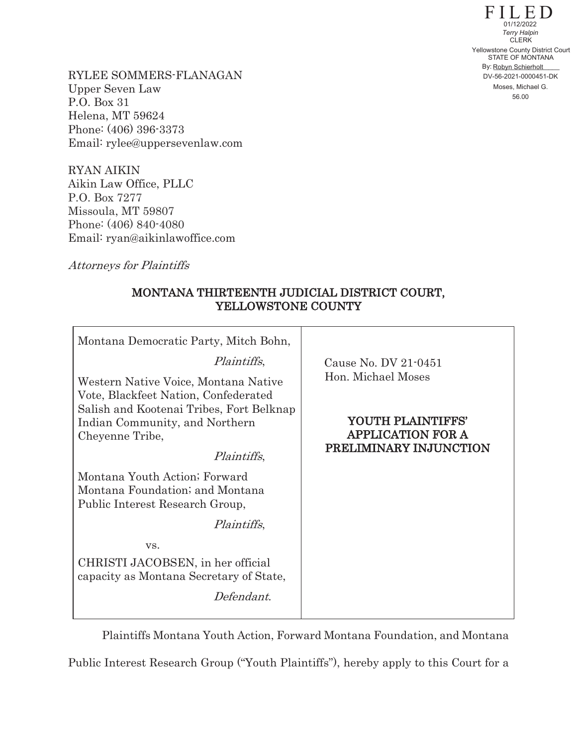FILED STATE OF MONTANA By: Robyn Schierholt **CLERK** 56.00 Yellowstone County District Court DV-56-2021-0000451-DK 01/12/2022 *Terry Halpin* Moses, Michael G.

RYLEE SOMMERS-FLANAGAN Upper Seven Law P.O. Box 31 Helena, MT 59624 Phone: (406) 396-3373 Email: rylee@uppersevenlaw.com

RYAN AIKIN Aikin Law Office, PLLC P.O. Box 7277 Missoula, MT 59807 Phone: (406) 840-4080 Email: ryan@aikinlawoffice.com

Attorneys for Plaintiffs

## MONTANA THIRTEENTH JUDICIAL DISTRICT COURT, YELLOWSTONE COUNTY

| Montana Democratic Party, Mitch Bohn,                                                                                |                                                                         |
|----------------------------------------------------------------------------------------------------------------------|-------------------------------------------------------------------------|
| <i>Plaintiffs</i> ,                                                                                                  | Cause No. DV 21-0451                                                    |
| Western Native Voice, Montana Native<br>Vote, Blackfeet Nation, Confederated                                         | Hon. Michael Moses                                                      |
| Salish and Kootenai Tribes, Fort Belknap<br>Indian Community, and Northern<br>Cheyenne Tribe,<br><i>Plaintiffs</i> , | YOUTH PLAINTIFFS'<br><b>APPLICATION FOR A</b><br>PRELIMINARY INJUNCTION |
| Montana Youth Action; Forward<br>Montana Foundation; and Montana<br>Public Interest Research Group,                  |                                                                         |
| <i>Plaintiffs</i> ,                                                                                                  |                                                                         |
| VS.                                                                                                                  |                                                                         |
| CHRISTI JACOBSEN, in her official<br>capacity as Montana Secretary of State,                                         |                                                                         |
| Defendant.                                                                                                           |                                                                         |

Plaintiffs Montana Youth Action, Forward Montana Foundation, and Montana

Public Interest Research Group ("Youth Plaintiffs"), hereby apply to this Court for a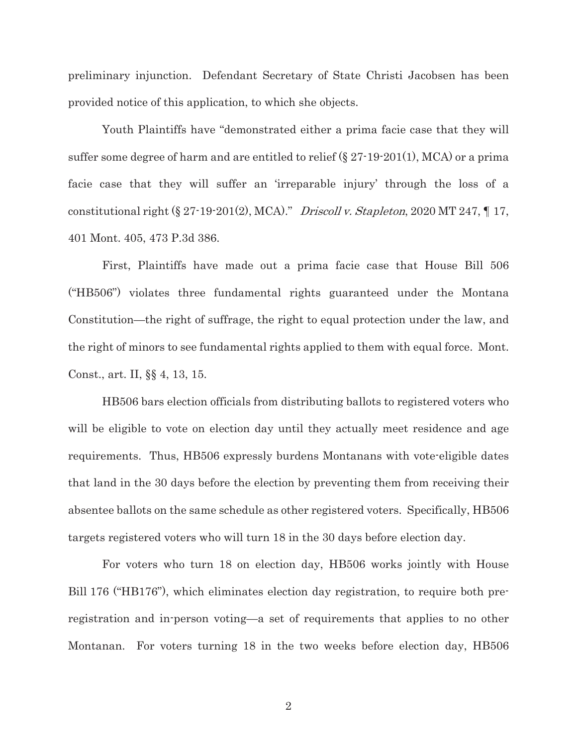preliminary injunction. Defendant Secretary of State Christi Jacobsen has been provided notice of this application, to which she objects.

Youth Plaintiffs have "demonstrated either a prima facie case that they will suffer some degree of harm and are entitled to relief (§ 27-19-201(1), MCA) or a prima facie case that they will suffer an 'irreparable injury' through the loss of a constitutional right  $(\S 27-19-201(2), MCA)$ ." Driscoll v. Stapleton, 2020 MT 247,  $\P 17$ , 401 Mont. 405, 473 P.3d 386.

First, Plaintiffs have made out a prima facie case that House Bill 506 ("HB506") violates three fundamental rights guaranteed under the Montana Constitution—the right of suffrage, the right to equal protection under the law, and the right of minors to see fundamental rights applied to them with equal force. Mont. Const., art. II, §§ 4, 13, 15.

HB506 bars election officials from distributing ballots to registered voters who will be eligible to vote on election day until they actually meet residence and age requirements. Thus, HB506 expressly burdens Montanans with vote-eligible dates that land in the 30 days before the election by preventing them from receiving their absentee ballots on the same schedule as other registered voters. Specifically, HB506 targets registered voters who will turn 18 in the 30 days before election day.

For voters who turn 18 on election day, HB506 works jointly with House Bill 176 ("HB176"), which eliminates election day registration, to require both preregistration and in-person voting—a set of requirements that applies to no other Montanan. For voters turning 18 in the two weeks before election day, HB506

2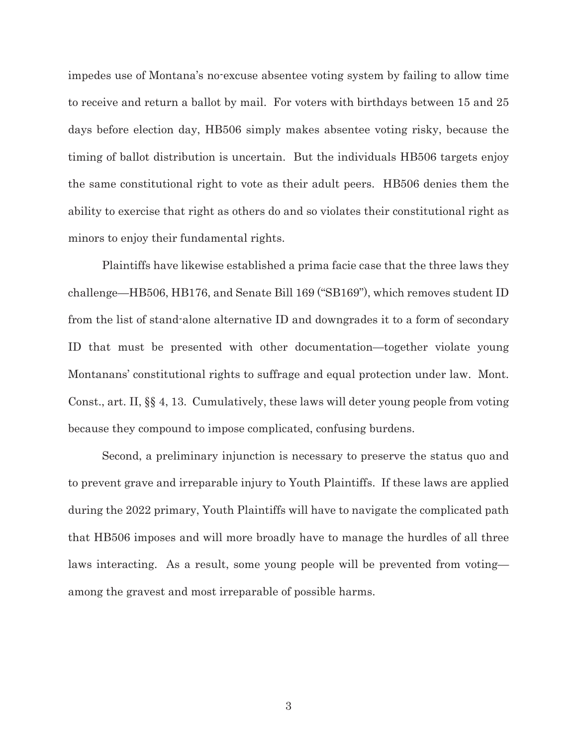impedes use of Montana's no-excuse absentee voting system by failing to allow time to receive and return a ballot by mail. For voters with birthdays between 15 and 25 days before election day, HB506 simply makes absentee voting risky, because the timing of ballot distribution is uncertain. But the individuals HB506 targets enjoy the same constitutional right to vote as their adult peers. HB506 denies them the ability to exercise that right as others do and so violates their constitutional right as minors to enjoy their fundamental rights.

Plaintiffs have likewise established a prima facie case that the three laws they challenge—HB506, HB176, and Senate Bill 169 ("SB169"), which removes student ID from the list of stand-alone alternative ID and downgrades it to a form of secondary ID that must be presented with other documentation—together violate young Montanans' constitutional rights to suffrage and equal protection under law. Mont. Const., art. II, §§ 4, 13. Cumulatively, these laws will deter young people from voting because they compound to impose complicated, confusing burdens.

Second, a preliminary injunction is necessary to preserve the status quo and to prevent grave and irreparable injury to Youth Plaintiffs. If these laws are applied during the 2022 primary, Youth Plaintiffs will have to navigate the complicated path that HB506 imposes and will more broadly have to manage the hurdles of all three laws interacting. As a result, some young people will be prevented from voting among the gravest and most irreparable of possible harms.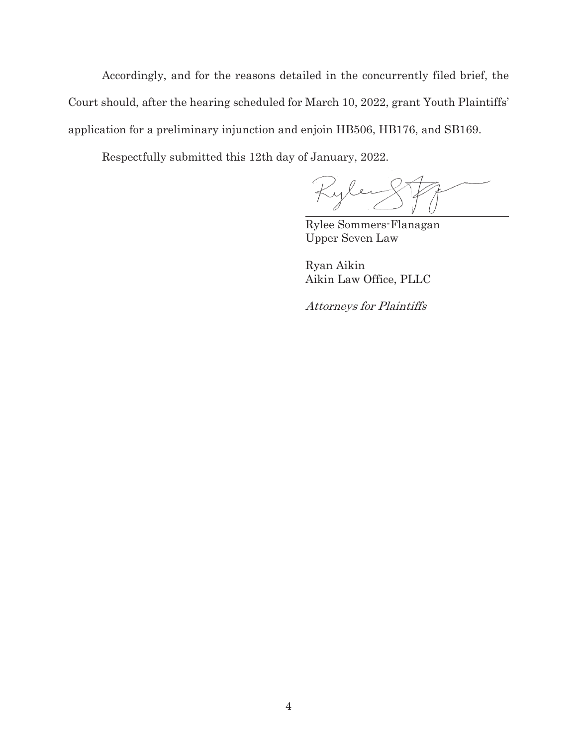Accordingly, and for the reasons detailed in the concurrently filed brief, the Court should, after the hearing scheduled for March 10, 2022, grant Youth Plaintiffs' application for a preliminary injunction and enjoin HB506, HB176, and SB169.

Respectfully submitted this 12th day of January, 2022.

Rylen

Rylee Sommers-Flanagan Upper Seven Law

Ryan Aikin Aikin Law Office, PLLC

Attorneys for Plaintiffs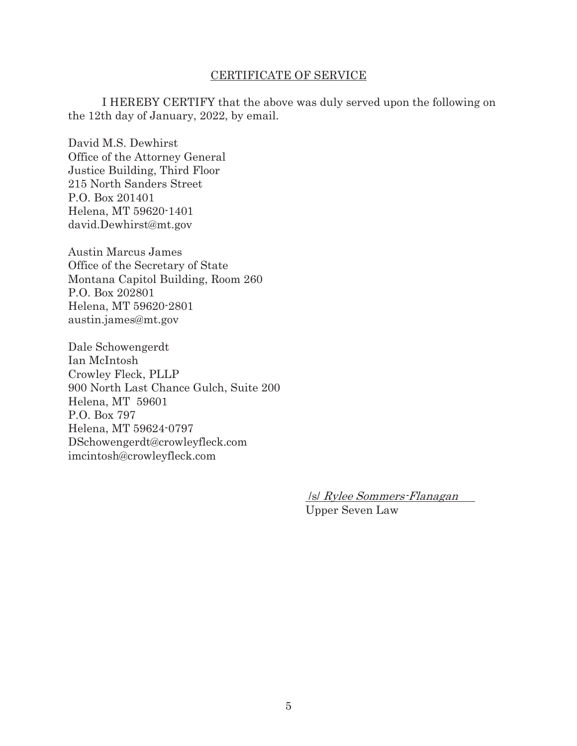## CERTIFICATE OF SERVICE

 I HEREBY CERTIFY that the above was duly served upon the following on the 12th day of January, 2022, by email.

David M.S. Dewhirst Office of the Attorney General Justice Building, Third Floor 215 North Sanders Street P.O. Box 201401 Helena, MT 59620-1401 david.Dewhirst@mt.gov

Austin Marcus James Office of the Secretary of State Montana Capitol Building, Room 260 P.O. Box 202801 Helena, MT 59620-2801 austin.james@mt.gov

Dale Schowengerdt Ian McIntosh Crowley Fleck, PLLP 900 North Last Chance Gulch, Suite 200 Helena, MT 59601 P.O. Box 797 Helena, MT 59624-0797 DSchowengerdt@crowleyfleck.com imcintosh@crowleyfleck.com

> /s/ Rylee Sommers-Flanagan Upper Seven Law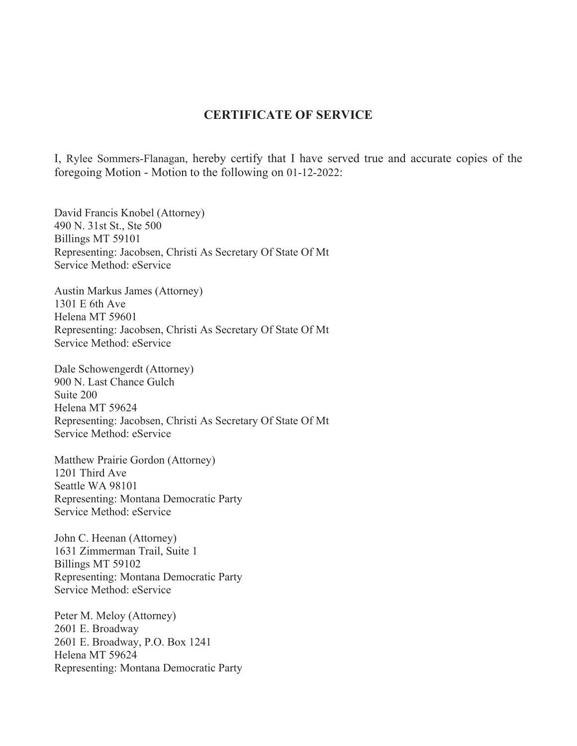## **CERTIFICATE OF SERVICE**

I, Rylee Sommers-Flanagan, hereby certify that I have served true and accurate copies of the foregoing Motion - Motion to the following on 01-12-2022:

David Francis Knobel (Attorney) 490 N. 31st St., Ste 500 Billings MT 59101 Representing: Jacobsen, Christi As Secretary Of State Of Mt Service Method: eService

Austin Markus James (Attorney) 1301 E 6th Ave Helena MT 59601 Representing: Jacobsen, Christi As Secretary Of State Of Mt Service Method: eService

Dale Schowengerdt (Attorney) 900 N. Last Chance Gulch Suite 200 Helena MT 59624 Representing: Jacobsen, Christi As Secretary Of State Of Mt Service Method: eService

Matthew Prairie Gordon (Attorney) 1201 Third Ave Seattle WA 98101 Representing: Montana Democratic Party Service Method: eService

John C. Heenan (Attorney) 1631 Zimmerman Trail, Suite 1 Billings MT 59102 Representing: Montana Democratic Party Service Method: eService

Peter M. Meloy (Attorney) 2601 E. Broadway 2601 E. Broadway, P.O. Box 1241 Helena MT 59624 Representing: Montana Democratic Party